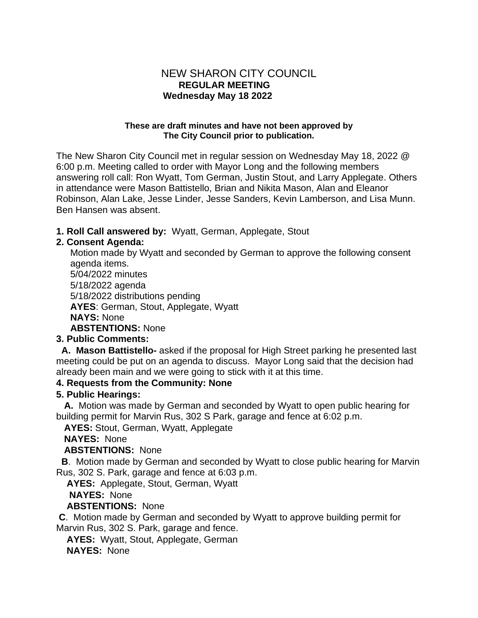### NEW SHARON CITY COUNCIL  **REGULAR MEETING Wednesday May 18 2022**

#### **These are draft minutes and have not been approved by The City Council prior to publication.**

The New Sharon City Council met in regular session on Wednesday May 18, 2022 @ 6:00 p.m. Meeting called to order with Mayor Long and the following members answering roll call: Ron Wyatt, Tom German, Justin Stout, and Larry Applegate. Others in attendance were Mason Battistello, Brian and Nikita Mason, Alan and Eleanor Robinson, Alan Lake, Jesse Linder, Jesse Sanders, Kevin Lamberson, and Lisa Munn. Ben Hansen was absent.

#### **1. Roll Call answered by:** Wyatt, German, Applegate, Stout

### **2. Consent Agenda:**

Motion made by Wyatt and seconded by German to approve the following consent agenda items. 5/04/2022 minutes 5/18/2022 agenda 5/18/2022 distributions pending **AYES**: German, Stout, Applegate, Wyatt **NAYS:** None **ABSTENTIONS:** None

### **3. Public Comments:**

 **A. Mason Battistello-** asked if the proposal for High Street parking he presented last meeting could be put on an agenda to discuss. Mayor Long said that the decision had already been main and we were going to stick with it at this time.

### **4. Requests from the Community: None**

#### **5. Public Hearings:**

 **A.** Motion was made by German and seconded by Wyatt to open public hearing for building permit for Marvin Rus, 302 S Park, garage and fence at 6:02 p.m.

 **AYES:** Stout, German, Wyatt, Applegate

### **NAYES:** None

### **ABSTENTIONS:** None

**B**. Motion made by German and seconded by Wyatt to close public hearing for Marvin Rus, 302 S. Park, garage and fence at 6:03 p.m.

 **AYES:** Applegate, Stout, German, Wyatt

 **NAYES:** None

### **ABSTENTIONS:** None

**C**. Motion made by German and seconded by Wyatt to approve building permit for Marvin Rus, 302 S. Park, garage and fence.

**AYES:** Wyatt, Stout, Applegate, German

**NAYES:** None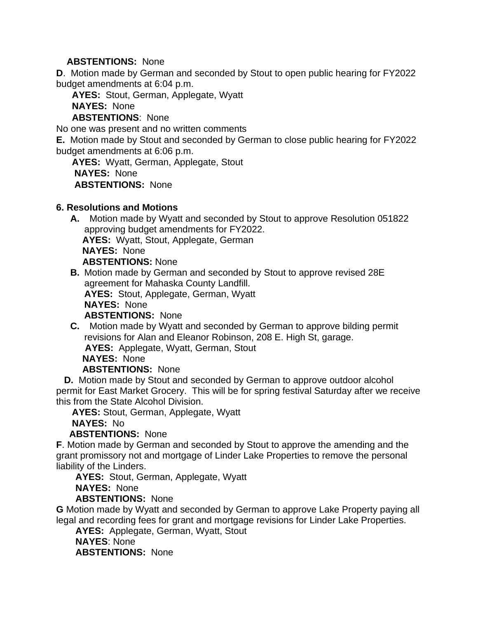### **ABSTENTIONS:** None

**D**. Motion made by German and seconded by Stout to open public hearing for FY2022 budget amendments at 6:04 p.m.

**AYES:** Stout, German, Applegate, Wyatt

**NAYES:** None

**ABSTENTIONS**: None

No one was present and no written comments

**E.** Motion made by Stout and seconded by German to close public hearing for FY2022 budget amendments at 6:06 p.m.

 **AYES:** Wyatt, German, Applegate, Stout **NAYES:** None **ABSTENTIONS:** None

#### **6. Resolutions and Motions**

**A.** Motion made by Wyatt and seconded by Stout to approve Resolution 051822 approving budget amendments for FY2022. **AYES:** Wyatt, Stout, Applegate, German **NAYES:** None **ABSTENTIONS:** None

**B.** Motion made by German and seconded by Stout to approve revised 28E agreement for Mahaska County Landfill. **AYES:** Stout, Applegate, German, Wyatt **NAYES:** None

**ABSTENTIONS:** None

**C.** Motion made by Wyatt and seconded by German to approve bilding permit revisions for Alan and Eleanor Robinson, 208 E. High St, garage. **AYES:** Applegate, Wyatt, German, Stout **NAYES:** None

#### **ABSTENTIONS:** None

 **D.** Motion made by Stout and seconded by German to approve outdoor alcohol permit for East Market Grocery. This will be for spring festival Saturday after we receive this from the State Alcohol Division.

**AYES:** Stout, German, Applegate, Wyatt

### **NAYES:** No

**ABSTENTIONS:** None

**F**. Motion made by German and seconded by Stout to approve the amending and the grant promissory not and mortgage of Linder Lake Properties to remove the personal liability of the Linders.

**AYES:** Stout, German, Applegate, Wyatt

**NAYES:** None

### **ABSTENTIONS:** None

**G** Motion made by Wyatt and seconded by German to approve Lake Property paying all legal and recording fees for grant and mortgage revisions for Linder Lake Properties.

**AYES:** Applegate, German, Wyatt, Stout

**NAYES**: None

**ABSTENTIONS:** None